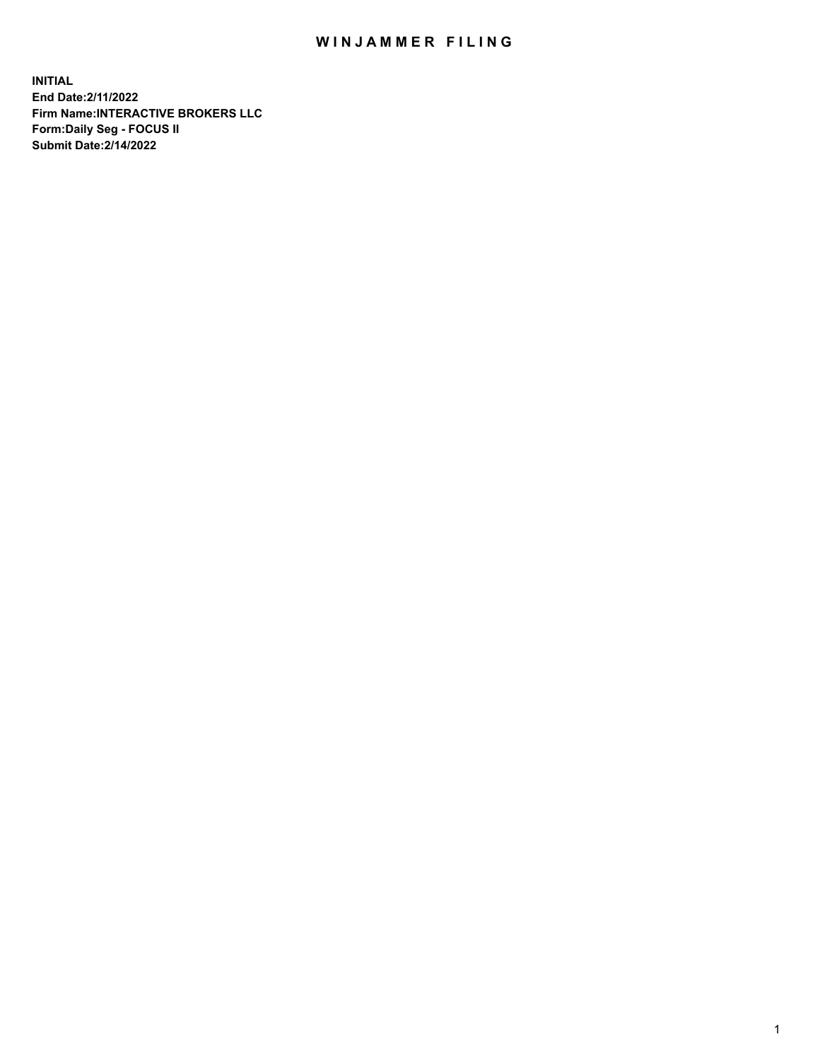## WIN JAMMER FILING

**INITIAL End Date:2/11/2022 Firm Name:INTERACTIVE BROKERS LLC Form:Daily Seg - FOCUS II Submit Date:2/14/2022**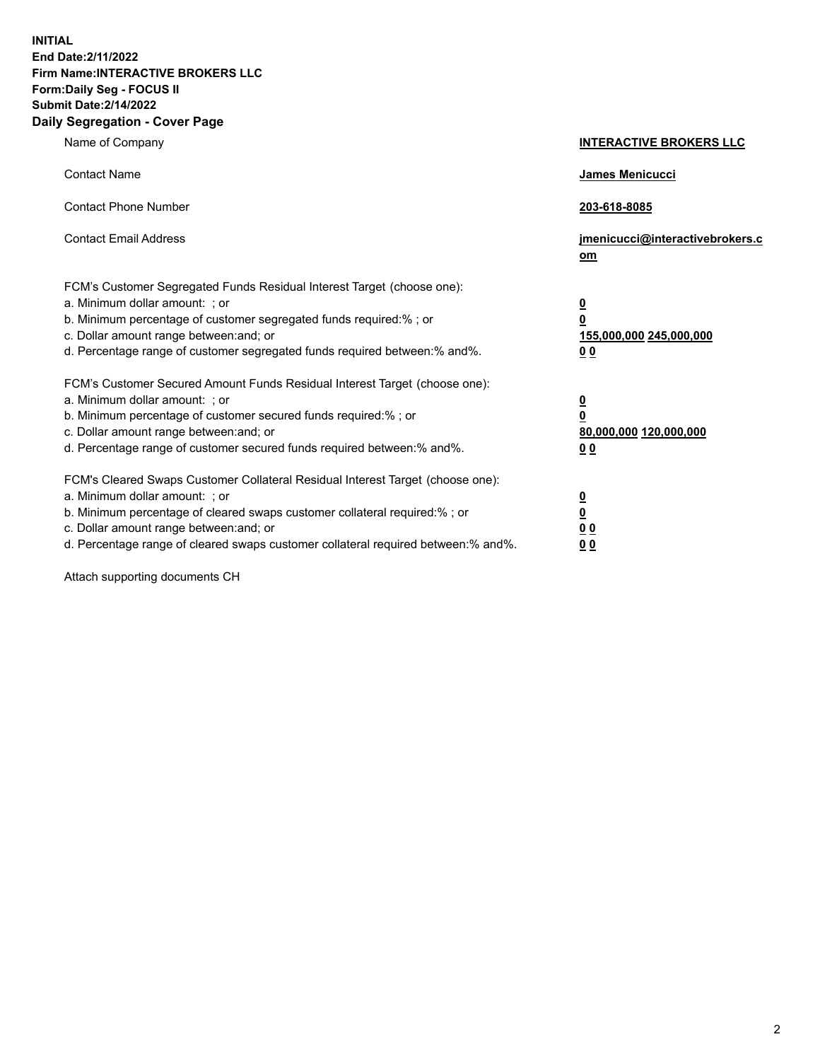**INITIAL End Date:2/11/2022 Firm Name:INTERACTIVE BROKERS LLC Form:Daily Seg - FOCUS II Submit Date:2/14/2022 Daily Segregation - Cover Page**

| Name of Company                                                                                                                                                                                                                                                                                                               | <b>INTERACTIVE BROKERS LLC</b>                                                                  |  |
|-------------------------------------------------------------------------------------------------------------------------------------------------------------------------------------------------------------------------------------------------------------------------------------------------------------------------------|-------------------------------------------------------------------------------------------------|--|
| <b>Contact Name</b>                                                                                                                                                                                                                                                                                                           | James Menicucci                                                                                 |  |
| <b>Contact Phone Number</b>                                                                                                                                                                                                                                                                                                   | 203-618-8085                                                                                    |  |
| <b>Contact Email Address</b>                                                                                                                                                                                                                                                                                                  | jmenicucci@interactivebrokers.c<br><u>om</u>                                                    |  |
| FCM's Customer Segregated Funds Residual Interest Target (choose one):<br>a. Minimum dollar amount: ; or<br>b. Minimum percentage of customer segregated funds required:% ; or<br>c. Dollar amount range between: and; or<br>d. Percentage range of customer segregated funds required between:% and%.                        | $\overline{\mathbf{0}}$<br>$\overline{\mathbf{0}}$<br>155,000,000 245,000,000<br>0 <sub>0</sub> |  |
| FCM's Customer Secured Amount Funds Residual Interest Target (choose one):<br>a. Minimum dollar amount: ; or<br>b. Minimum percentage of customer secured funds required:%; or<br>c. Dollar amount range between: and; or<br>d. Percentage range of customer secured funds required between:% and%.                           | $\overline{\mathbf{0}}$<br>$\overline{\mathbf{0}}$<br>80,000,000 120,000,000<br>0 <sub>0</sub>  |  |
| FCM's Cleared Swaps Customer Collateral Residual Interest Target (choose one):<br>a. Minimum dollar amount: ; or<br>b. Minimum percentage of cleared swaps customer collateral required:%; or<br>c. Dollar amount range between: and; or<br>d. Percentage range of cleared swaps customer collateral required between:% and%. | $\overline{\mathbf{0}}$<br>$\overline{\mathbf{0}}$<br>0 <sub>0</sub><br>0 <sub>0</sub>          |  |

Attach supporting documents CH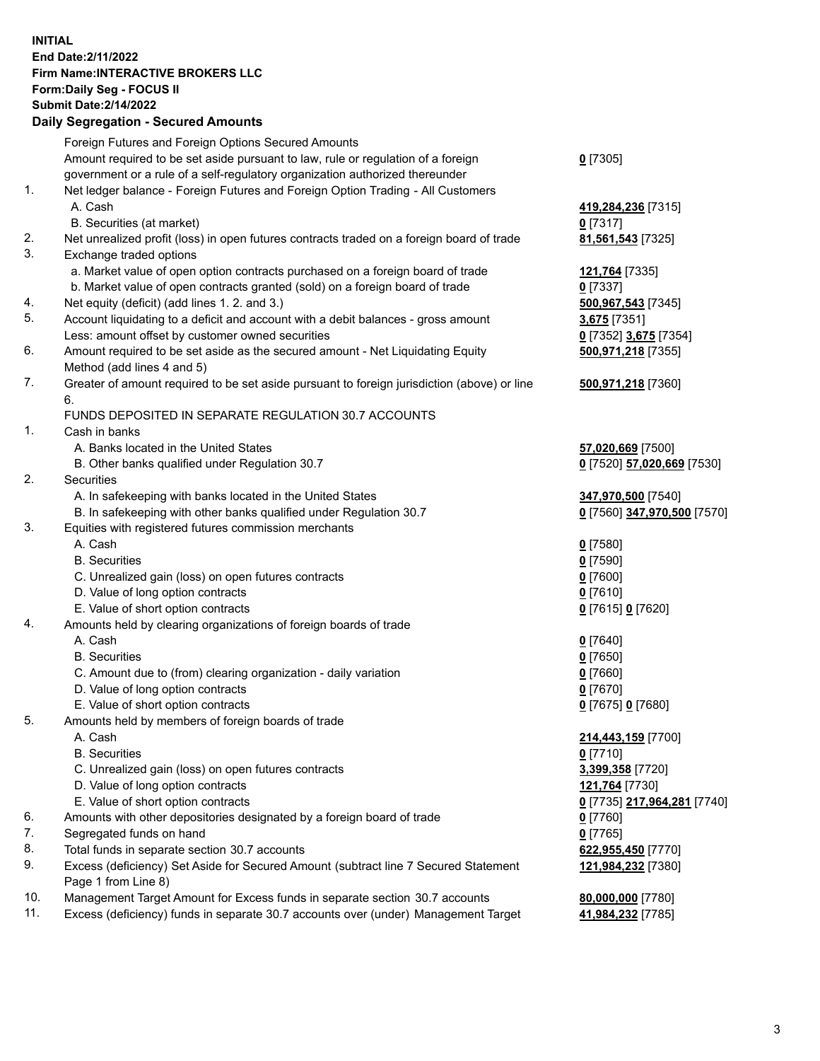**INITIAL End Date:2/11/2022 Firm Name:INTERACTIVE BROKERS LLC Form:Daily Seg - FOCUS II Submit Date:2/14/2022 Daily Segregation - Secured Amounts**

## Foreign Futures and Foreign Options Secured Amounts Amount required to be set aside pursuant to law, rule or regulation of a foreign government or a rule of a self-regulatory organization authorized thereunder **0** [7305] 1. Net ledger balance - Foreign Futures and Foreign Option Trading - All Customers A. Cash **419,284,236** [7315] B. Securities (at market) **0** [7317] 2. Net unrealized profit (loss) in open futures contracts traded on a foreign board of trade **81,561,543** [7325] 3. Exchange traded options a. Market value of open option contracts purchased on a foreign board of trade **121,764** [7335] b. Market value of open contracts granted (sold) on a foreign board of trade **0** [7337] 4. Net equity (deficit) (add lines 1. 2. and 3.) **500,967,543** [7345] 5. Account liquidating to a deficit and account with a debit balances - gross amount **3,675** [7351] Less: amount offset by customer owned securities **0** [7352] **3,675** [7354] 6. Amount required to be set aside as the secured amount - Net Liquidating Equity Method (add lines 4 and 5) **500,971,218** [7355] 7. Greater of amount required to be set aside pursuant to foreign jurisdiction (above) or line 6. **500,971,218** [7360] FUNDS DEPOSITED IN SEPARATE REGULATION 30.7 ACCOUNTS 1. Cash in banks A. Banks located in the United States **57,020,669** [7500] B. Other banks qualified under Regulation 30.7 **0** [7520] **57,020,669** [7530] 2. Securities A. In safekeeping with banks located in the United States **347,970,500** [7540] B. In safekeeping with other banks qualified under Regulation 30.7 **0** [7560] **347,970,500** [7570] 3. Equities with registered futures commission merchants A. Cash **0** [7580] B. Securities **0** [7590] C. Unrealized gain (loss) on open futures contracts **0** [7600] D. Value of long option contracts **0** [7610] E. Value of short option contracts **0** [7615] **0** [7620] 4. Amounts held by clearing organizations of foreign boards of trade A. Cash **0** [7640] B. Securities **0** [7650] C. Amount due to (from) clearing organization - daily variation **0** [7660] D. Value of long option contracts **0** [7670] E. Value of short option contracts **0** [7675] **0** [7680] 5. Amounts held by members of foreign boards of trade A. Cash **214,443,159** [7700] B. Securities **0** [7710] C. Unrealized gain (loss) on open futures contracts **3,399,358** [7720] D. Value of long option contracts **121,764** [7730] E. Value of short option contracts **0** [7735] **217,964,281** [7740] 6. Amounts with other depositories designated by a foreign board of trade **0** [7760] 7. Segregated funds on hand **0** [7765] 8. Total funds in separate section 30.7 accounts **622,955,450** [7770] 9. Excess (deficiency) Set Aside for Secured Amount (subtract line 7 Secured Statement Page 1 from Line 8) **121,984,232** [7380] 10. Management Target Amount for Excess funds in separate section 30.7 accounts **80,000,000** [7780] 11. Excess (deficiency) funds in separate 30.7 accounts over (under) Management Target **41,984,232** [7785]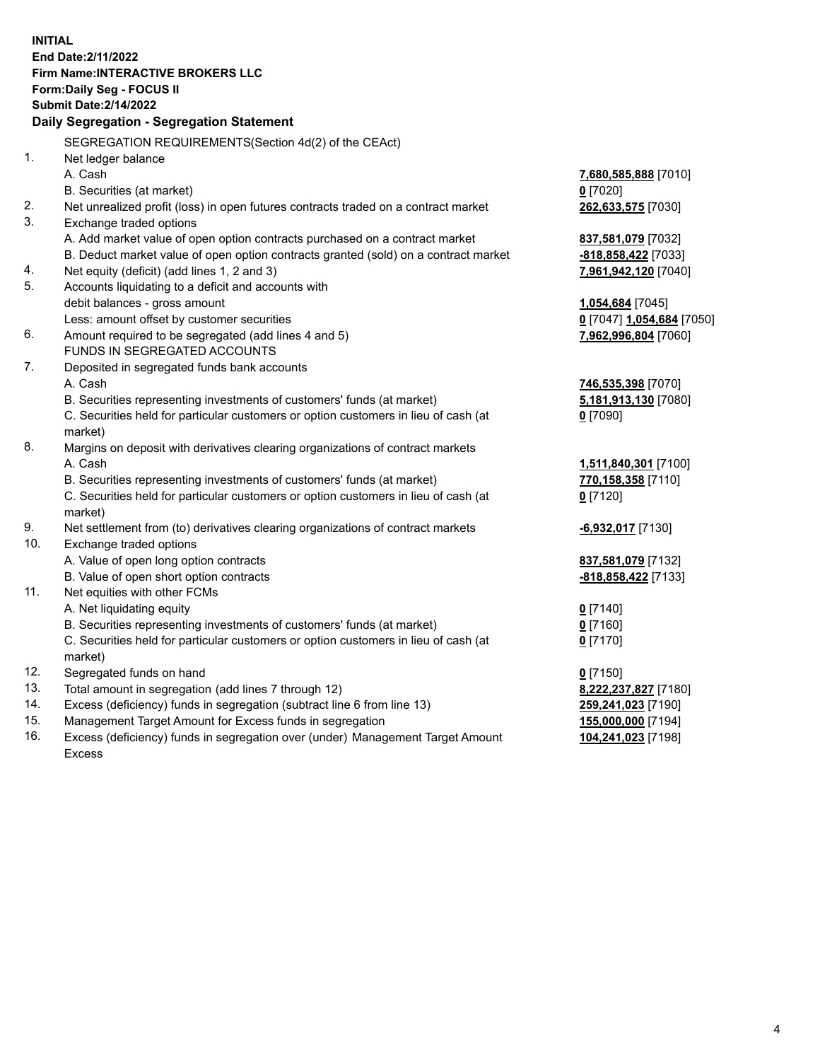**INITIAL End Date:2/11/2022 Firm Name:INTERACTIVE BROKERS LLC Form:Daily Seg - FOCUS II Submit Date:2/14/2022 Daily Segregation - Segregation Statement** SEGREGATION REQUIREMENTS(Section 4d(2) of the CEAct) 1. Net ledger balance A. Cash **7,680,585,888** [7010] B. Securities (at market) **0** [7020] 2. Net unrealized profit (loss) in open futures contracts traded on a contract market **262,633,575** [7030] 3. Exchange traded options A. Add market value of open option contracts purchased on a contract market **837,581,079** [7032] B. Deduct market value of open option contracts granted (sold) on a contract market **-818,858,422** [7033] 4. Net equity (deficit) (add lines 1, 2 and 3) **7,961,942,120** [7040] 5. Accounts liquidating to a deficit and accounts with debit balances - gross amount **1,054,684** [7045] Less: amount offset by customer securities **0** [7047] **1,054,684** [7050] 6. Amount required to be segregated (add lines 4 and 5) **7,962,996,804** [7060] FUNDS IN SEGREGATED ACCOUNTS 7. Deposited in segregated funds bank accounts A. Cash **746,535,398** [7070] B. Securities representing investments of customers' funds (at market) **5,181,913,130** [7080] C. Securities held for particular customers or option customers in lieu of cash (at market) **0** [7090] 8. Margins on deposit with derivatives clearing organizations of contract markets A. Cash **1,511,840,301** [7100] B. Securities representing investments of customers' funds (at market) **770,158,358** [7110] C. Securities held for particular customers or option customers in lieu of cash (at market) **0** [7120] 9. Net settlement from (to) derivatives clearing organizations of contract markets **-6,932,017** [7130] 10. Exchange traded options A. Value of open long option contracts **837,581,079** [7132] B. Value of open short option contracts **-818,858,422** [7133] 11. Net equities with other FCMs A. Net liquidating equity **0** [7140] B. Securities representing investments of customers' funds (at market) **0** [7160] C. Securities held for particular customers or option customers in lieu of cash (at market) **0** [7170] 12. Segregated funds on hand **0** [7150] 13. Total amount in segregation (add lines 7 through 12) **8,222,237,827** [7180] 14. Excess (deficiency) funds in segregation (subtract line 6 from line 13) **259,241,023** [7190] 15. Management Target Amount for Excess funds in segregation **155,000,000** [7194] **104,241,023** [7198]

16. Excess (deficiency) funds in segregation over (under) Management Target Amount Excess